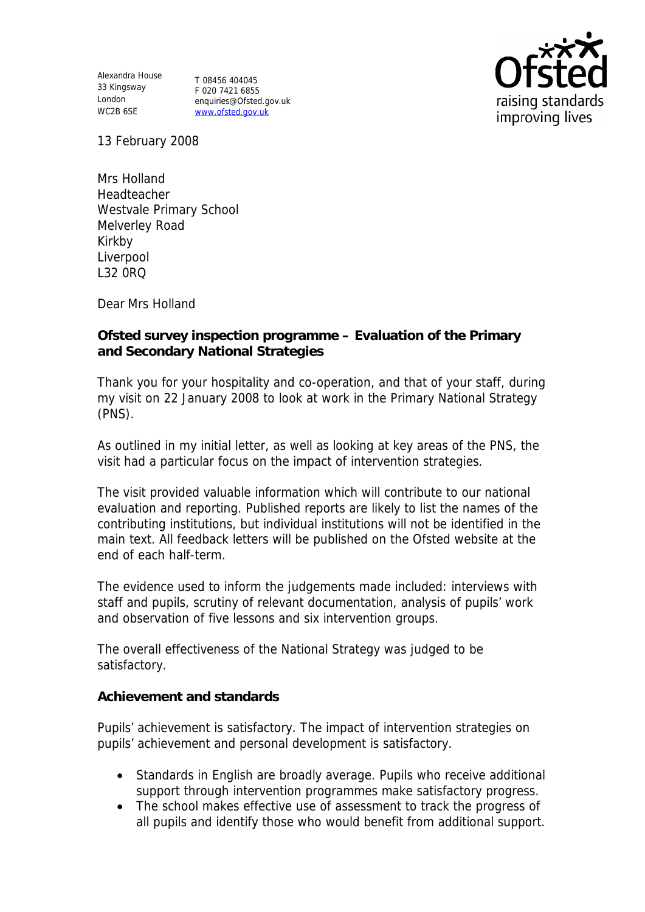Alexandra House 33 Kingsway London WC2B 6SE

T 08456 404045 F 020 7421 6855 enquiries@Ofsted.gov.uk www.ofsted.gov.uk



13 February 2008

Mrs Holland Headteacher Westvale Primary School Melverley Road Kirkby Liverpool L32 0RQ

Dear Mrs Holland

**Ofsted survey inspection programme – Evaluation of the Primary and Secondary National Strategies**

Thank you for your hospitality and co-operation, and that of your staff, during my visit on 22 January 2008 to look at work in the Primary National Strategy (PNS).

As outlined in my initial letter, as well as looking at key areas of the PNS, the visit had a particular focus on the impact of intervention strategies.

The visit provided valuable information which will contribute to our national evaluation and reporting. Published reports are likely to list the names of the contributing institutions, but individual institutions will not be identified in the main text. All feedback letters will be published on the Ofsted website at the end of each half-term.

The evidence used to inform the judgements made included: interviews with staff and pupils, scrutiny of relevant documentation, analysis of pupils' work and observation of five lessons and six intervention groups.

The overall effectiveness of the National Strategy was judged to be satisfactory.

**Achievement and standards**

Pupils' achievement is satisfactory. The impact of intervention strategies on pupils' achievement and personal development is satisfactory.

- Standards in English are broadly average. Pupils who receive additional support through intervention programmes make satisfactory progress.
- The school makes effective use of assessment to track the progress of all pupils and identify those who would benefit from additional support.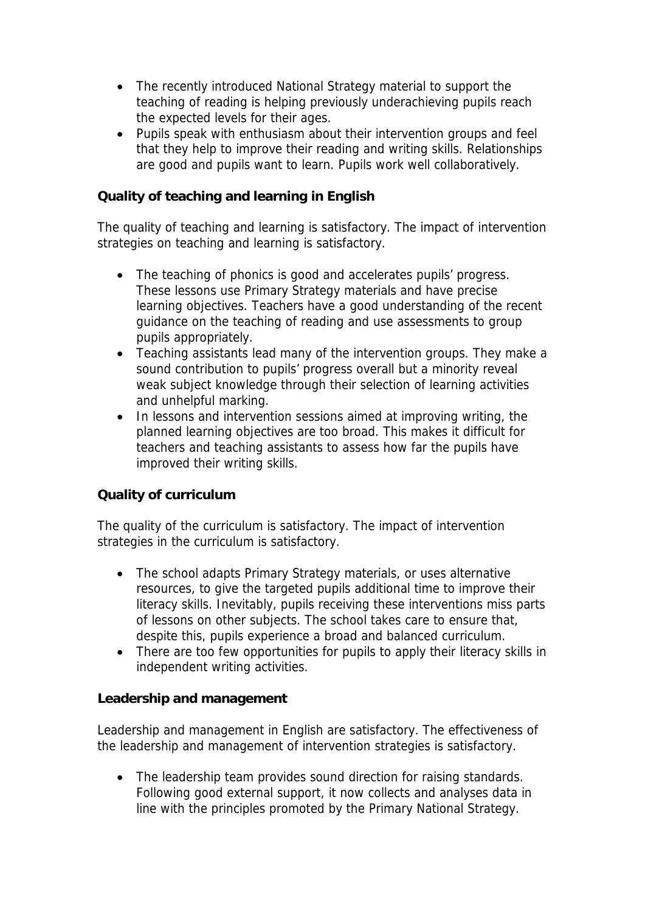- The recently introduced National Strategy material to support the teaching of reading is helping previously underachieving pupils reach the expected levels for their ages.
- Pupils speak with enthusiasm about their intervention groups and feel that they help to improve their reading and writing skills. Relationships are good and pupils want to learn. Pupils work well collaboratively.

**Quality of teaching and learning in English**

The quality of teaching and learning is satisfactory. The impact of intervention strategies on teaching and learning is satisfactory.

- The teaching of phonics is good and accelerates pupils' progress. These lessons use Primary Strategy materials and have precise learning objectives. Teachers have a good understanding of the recent guidance on the teaching of reading and use assessments to group pupils appropriately.
- Teaching assistants lead many of the intervention groups. They make a sound contribution to pupils' progress overall but a minority reveal weak subject knowledge through their selection of learning activities and unhelpful marking.
- In lessons and intervention sessions aimed at improving writing, the planned learning objectives are too broad. This makes it difficult for teachers and teaching assistants to assess how far the pupils have improved their writing skills.

## **Quality of curriculum**

The quality of the curriculum is satisfactory. The impact of intervention strategies in the curriculum is satisfactory.

- The school adapts Primary Strategy materials, or uses alternative resources, to give the targeted pupils additional time to improve their literacy skills. Inevitably, pupils receiving these interventions miss parts of lessons on other subjects. The school takes care to ensure that, despite this, pupils experience a broad and balanced curriculum.
- There are too few opportunities for pupils to apply their literacy skills in independent writing activities.

## **Leadership and management**

Leadership and management in English are satisfactory. The effectiveness of the leadership and management of intervention strategies is satisfactory.

• The leadership team provides sound direction for raising standards. Following good external support, it now collects and analyses data in line with the principles promoted by the Primary National Strategy.